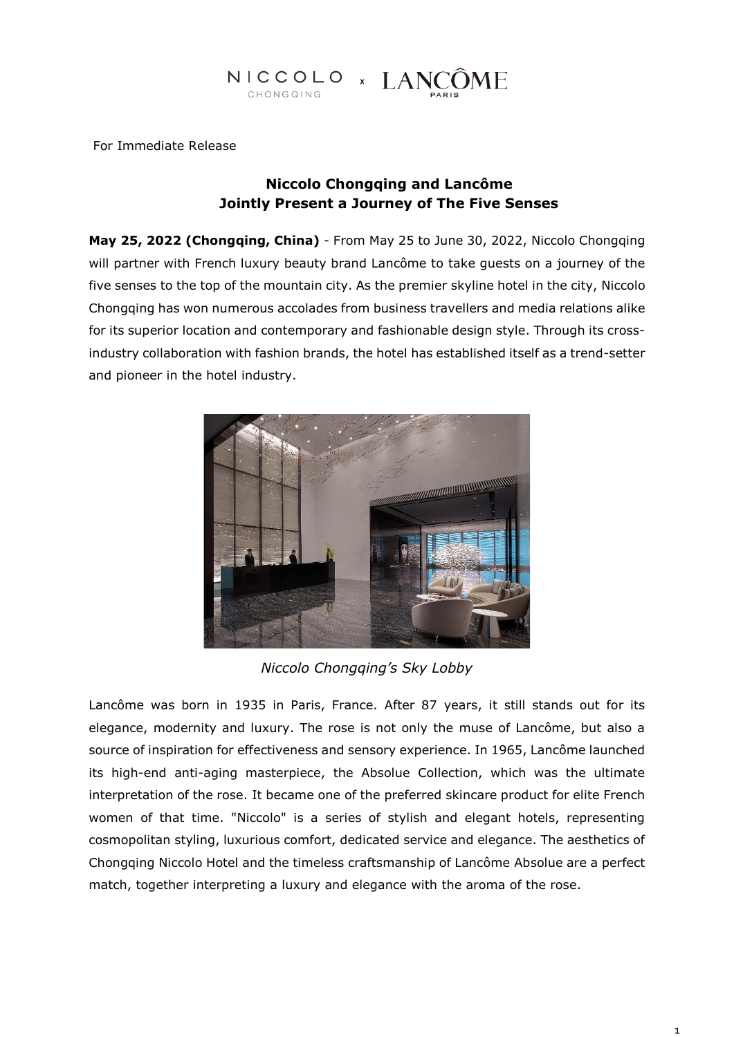# NICCOLO × LANCÔME

For Immediate Release

# **Niccolo Chongqing and Lancôme Jointly Present a Journey of The Five Senses**

**May 25, 2022 (Chongqing, China)** - From May 25 to June 30, 2022, Niccolo Chongqing will partner with French luxury beauty brand Lancôme to take guests on a journey of the five senses to the top of the mountain city. As the premier skyline hotel in the city, Niccolo Chongqing has won numerous accolades from business travellers and media relations alike for its superior location and contemporary and fashionable design style. Through its crossindustry collaboration with fashion brands, the hotel has established itself as a trend-setter and pioneer in the hotel industry.



*Niccolo Chongqing's Sky Lobby*

Lancôme was born in 1935 in Paris, France. After 87 years, it still stands out for its elegance, modernity and luxury. The rose is not only the muse of Lancôme, but also a source of inspiration for effectiveness and sensory experience. In 1965, Lancôme launched its high-end anti-aging masterpiece, the Absolue Collection, which was the ultimate interpretation of the rose. It became one of the preferred skincare product for elite French women of that time. "Niccolo" is a series of stylish and elegant hotels, representing cosmopolitan styling, luxurious comfort, dedicated service and elegance. The aesthetics of Chongqing Niccolo Hotel and the timeless craftsmanship of Lancôme Absolue are a perfect match, together interpreting a luxury and elegance with the aroma of the rose.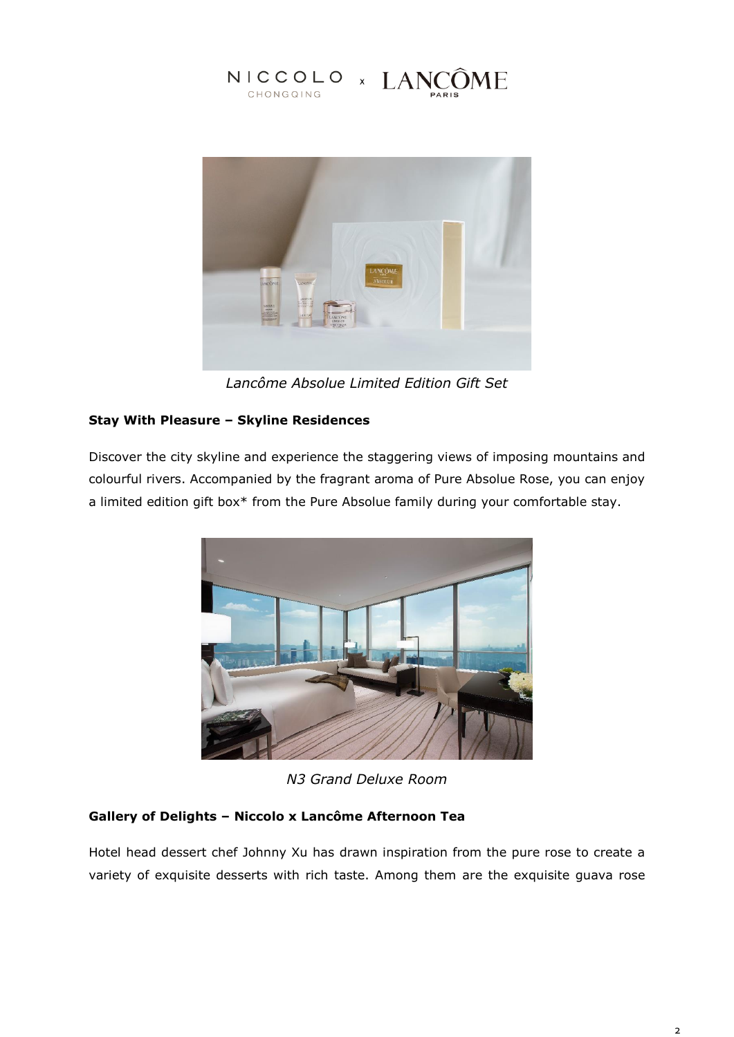



*Lancôme Absolue Limited Edition Gift Set*

# **Stay With Pleasure – Skyline Residences**

Discover the city skyline and experience the staggering views of imposing mountains and colourful rivers. Accompanied by the fragrant aroma of Pure Absolue Rose, you can enjoy a limited edition gift box\* from the Pure Absolue family during your comfortable stay.



*N3 Grand Deluxe Room*

## **Gallery of Delights – Niccolo x Lancôme Afternoon Tea**

Hotel head dessert chef Johnny Xu has drawn inspiration from the pure rose to create a variety of exquisite desserts with rich taste. Among them are the exquisite guava rose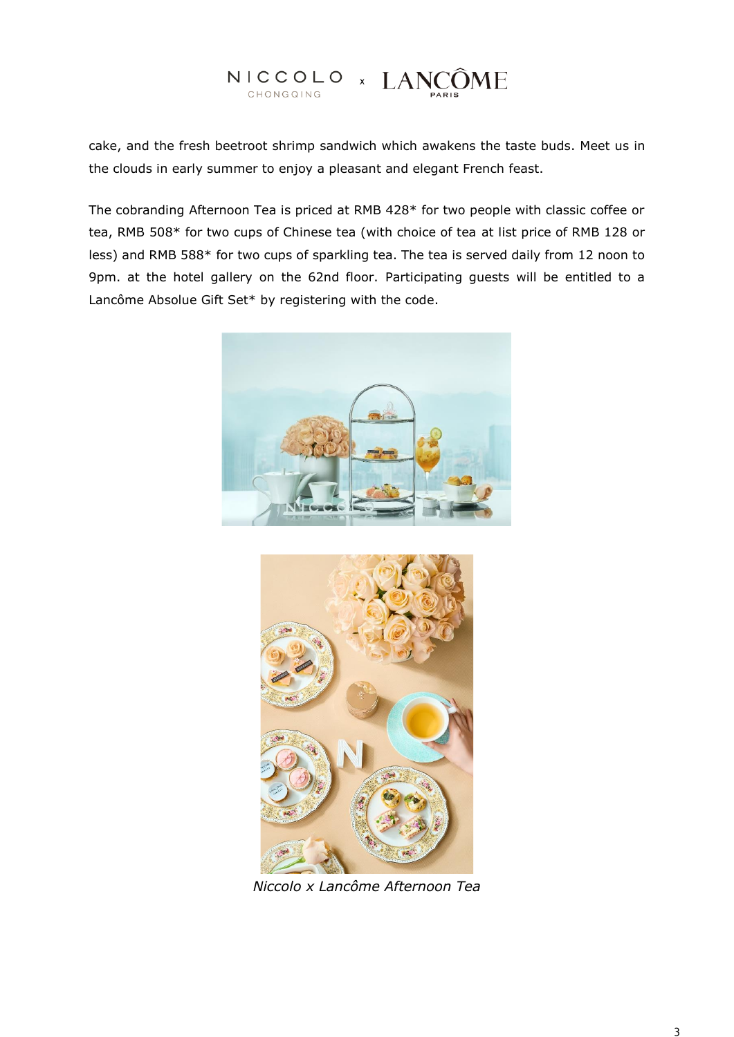# NICCOLO × LANCÔME

cake, and the fresh beetroot shrimp sandwich which awakens the taste buds. Meet us in the clouds in early summer to enjoy a pleasant and elegant French feast.

The cobranding Afternoon Tea is priced at RMB 428\* for two people with classic coffee or tea, RMB 508\* for two cups of Chinese tea (with choice of tea at list price of RMB 128 or less) and RMB 588\* for two cups of sparkling tea. The tea is served daily from 12 noon to 9pm. at the hotel gallery on the 62nd floor. Participating guests will be entitled to a Lancôme Absolue Gift Set\* by registering with the code.





*Niccolo x Lancôme Afternoon Tea*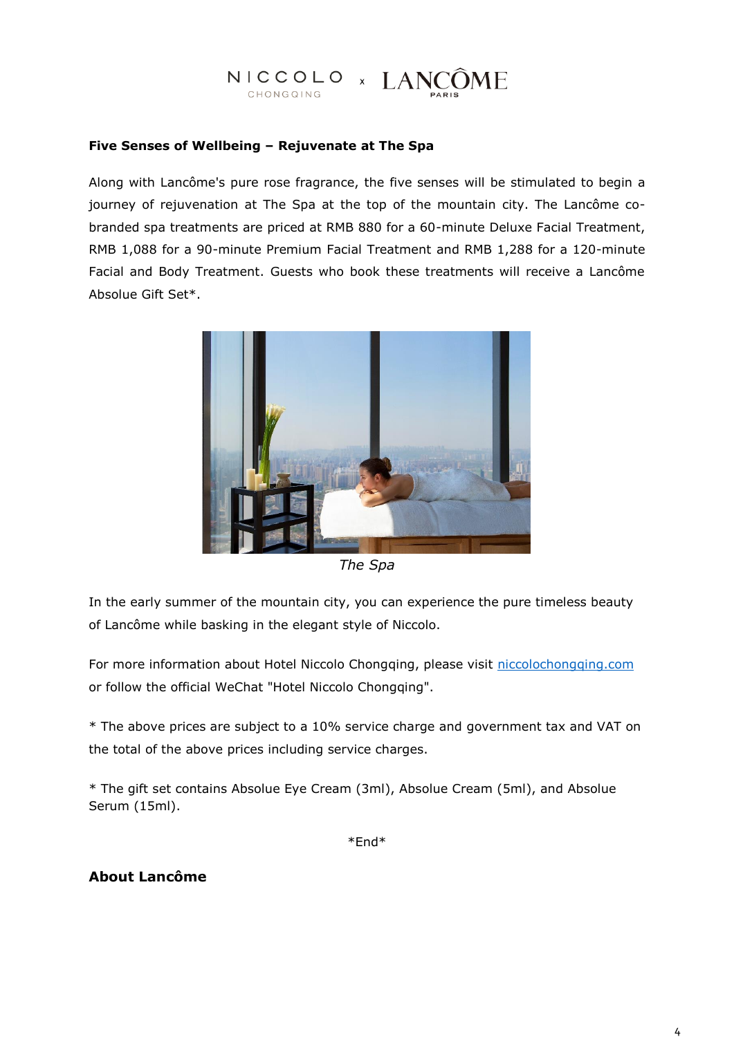# NICCOLO × LANCÔME

#### **Five Senses of Wellbeing – Rejuvenate at The Spa**

Along with Lancôme's pure rose fragrance, the five senses will be stimulated to begin a journey of rejuvenation at The Spa at the top of the mountain city. The Lancôme cobranded spa treatments are priced at RMB 880 for a 60-minute Deluxe Facial Treatment, RMB 1,088 for a 90-minute Premium Facial Treatment and RMB 1,288 for a 120-minute Facial and Body Treatment. Guests who book these treatments will receive a Lancôme Absolue Gift Set\*.



*The Spa*

In the early summer of the mountain city, you can experience the pure timeless beauty of Lancôme while basking in the elegant style of Niccolo.

For more information about Hotel Niccolo Chongqing, please visit [niccolochongqing.com](http://www.niccolochongqing.com/) or follow the official WeChat "Hotel Niccolo Chongqing".

\* The above prices are subject to a 10% service charge and government tax and VAT on the total of the above prices including service charges.

\* The gift set contains Absolue Eye Cream (3ml), Absolue Cream (5ml), and Absolue Serum (15ml).

\*End\*

#### **About Lancôme**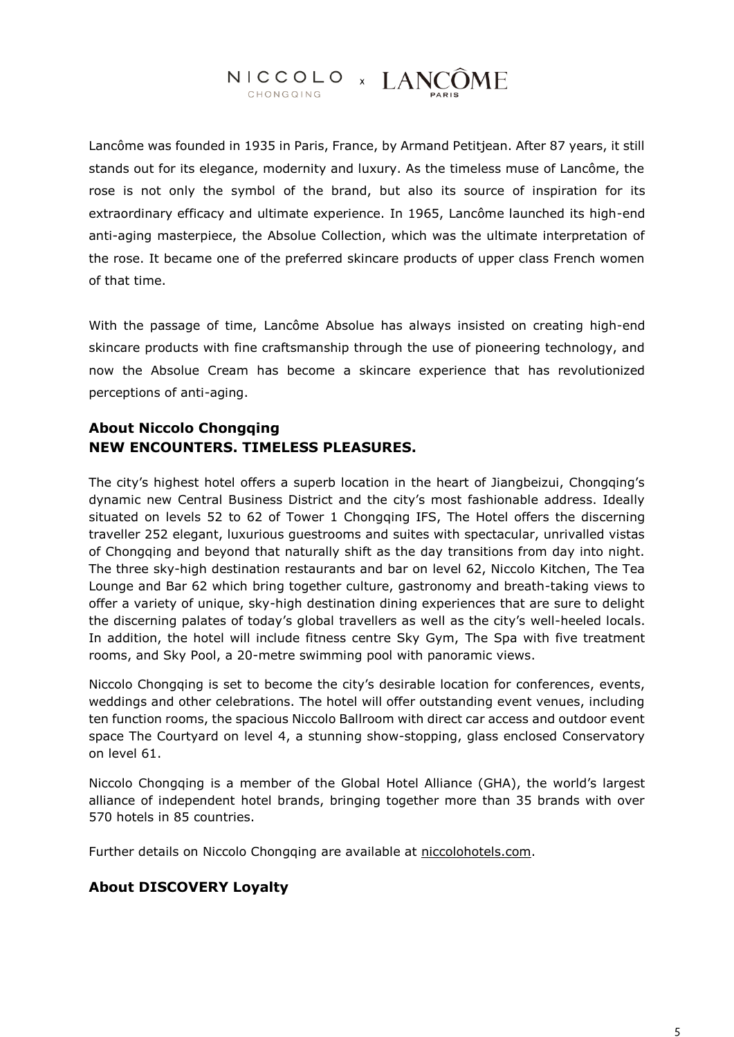#### NICCOLO × LANCÔME CHONGQING

Lancôme was founded in 1935 in Paris, France, by Armand Petitjean. After 87 years, it still stands out for its elegance, modernity and luxury. As the timeless muse of Lancôme, the rose is not only the symbol of the brand, but also its source of inspiration for its extraordinary efficacy and ultimate experience. In 1965, Lancôme launched its high-end anti-aging masterpiece, the Absolue Collection, which was the ultimate interpretation of the rose. It became one of the preferred skincare products of upper class French women of that time.

With the passage of time, Lancôme Absolue has always insisted on creating high-end skincare products with fine craftsmanship through the use of pioneering technology, and now the Absolue Cream has become a skincare experience that has revolutionized perceptions of anti-aging.

# **About Niccolo Chongqing NEW ENCOUNTERS. TIMELESS PLEASURES.**

The city's highest hotel offers a superb location in the heart of Jiangbeizui, Chongqing's dynamic new Central Business District and the city's most fashionable address. Ideally situated on levels 52 to 62 of Tower 1 Chongqing IFS, The Hotel offers the discerning traveller 252 elegant, luxurious guestrooms and suites with spectacular, unrivalled vistas of Chongqing and beyond that naturally shift as the day transitions from day into night. The three sky-high destination restaurants and bar on level 62, Niccolo Kitchen, The Tea Lounge and Bar 62 which bring together culture, gastronomy and breath-taking views to offer a variety of unique, sky-high destination dining experiences that are sure to delight the discerning palates of today's global travellers as well as the city's well-heeled locals. In addition, the hotel will include fitness centre Sky Gym, The Spa with five treatment rooms, and Sky Pool, a 20-metre swimming pool with panoramic views.

Niccolo Chongqing is set to become the city's desirable location for conferences, events, weddings and other celebrations. The hotel will offer outstanding event venues, including ten function rooms, the spacious Niccolo Ballroom with direct car access and outdoor event space The Courtyard on level 4, a stunning show-stopping, glass enclosed Conservatory on level 61.

Niccolo Chongqing is a member of the Global Hotel Alliance (GHA), the world's largest alliance of independent hotel brands, bringing together more than 35 brands with over 570 hotels in 85 countries.

Further details on Niccolo Chongqing are available at [niccolohotels.com.](niccolohotels.com)

## **About DISCOVERY Loyalty**